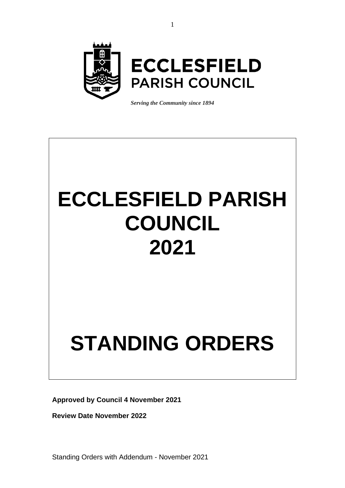

*Serving the Community since 1894*

# **ECCLESFIELD PARISH COUNCIL 2021**

# **STANDING ORDERS**

**Approved by Council 4 November 2021**

**Review Date November 2022**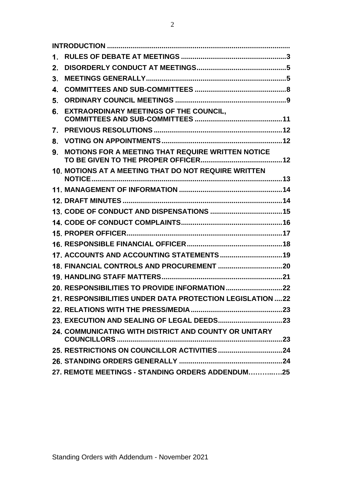| 1. |                                                            |  |
|----|------------------------------------------------------------|--|
| 2. |                                                            |  |
| 3. |                                                            |  |
| 4. |                                                            |  |
| 5. |                                                            |  |
| 6. | <b>EXTRAORDINARY MEETINGS OF THE COUNCIL,</b>              |  |
| 7. |                                                            |  |
| 8. |                                                            |  |
| 9. | <b>MOTIONS FOR A MEETING THAT REQUIRE WRITTEN NOTICE</b>   |  |
|    | 10. MOTIONS AT A MEETING THAT DO NOT REQUIRE WRITTEN       |  |
|    |                                                            |  |
|    |                                                            |  |
|    |                                                            |  |
|    |                                                            |  |
|    |                                                            |  |
|    |                                                            |  |
|    | 17. ACCOUNTS AND ACCOUNTING STATEMENTS 19                  |  |
|    |                                                            |  |
|    |                                                            |  |
|    |                                                            |  |
|    | 21. RESPONSIBILITIES UNDER DATA PROTECTION LEGISLATION  22 |  |
|    |                                                            |  |
|    |                                                            |  |
|    | 24. COMMUNICATING WITH DISTRICT AND COUNTY OR UNITARY      |  |
|    |                                                            |  |
|    |                                                            |  |
|    | 27. REMOTE MEETINGS - STANDING ORDERS ADDENDUM25           |  |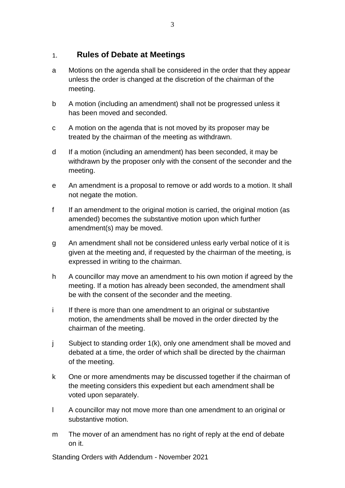#### <span id="page-2-0"></span>**Rules of Debate at Meetings**  $1<sub>1</sub>$

- a Motions on the agenda shall be considered in the order that they appear unless the order is changed at the discretion of the chairman of the meeting.
- b A motion (including an amendment) shall not be progressed unless it has been moved and seconded.
- c A motion on the agenda that is not moved by its proposer may be treated by the chairman of the meeting as withdrawn.
- d If a motion (including an amendment) has been seconded, it may be withdrawn by the proposer only with the consent of the seconder and the meeting.
- e An amendment is a proposal to remove or add words to a motion. It shall not negate the motion.
- f If an amendment to the original motion is carried, the original motion (as amended) becomes the substantive motion upon which further amendment(s) may be moved.
- g An amendment shall not be considered unless early verbal notice of it is given at the meeting and, if requested by the chairman of the meeting, is expressed in writing to the chairman.
- h A councillor may move an amendment to his own motion if agreed by the meeting. If a motion has already been seconded, the amendment shall be with the consent of the seconder and the meeting.
- i If there is more than one amendment to an original or substantive motion, the amendments shall be moved in the order directed by the chairman of the meeting.
- j Subject to standing order 1(k), only one amendment shall be moved and debated at a time, the order of which shall be directed by the chairman of the meeting.
- k One or more amendments may be discussed together if the chairman of the meeting considers this expedient but each amendment shall be voted upon separately.
- l A councillor may not move more than one amendment to an original or substantive motion.
- m The mover of an amendment has no right of reply at the end of debate on it.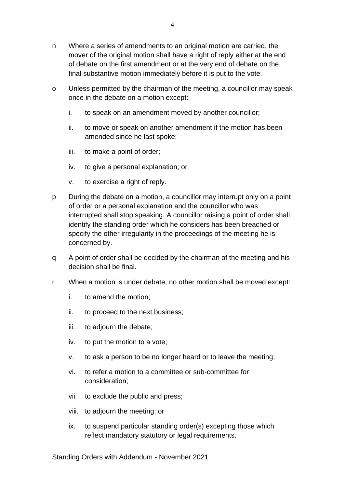- n Where a series of amendments to an original motion are carried, the mover of the original motion shall have a right of reply either at the end of debate on the first amendment or at the very end of debate on the final substantive motion immediately before it is put to the vote.
- o Unless permitted by the chairman of the meeting, a councillor may speak once in the debate on a motion except:
	- i. to speak on an amendment moved by another councillor;
	- ii. to move or speak on another amendment if the motion has been amended since he last spoke;
	- iii. to make a point of order;
	- iv. to give a personal explanation; or
	- v. to exercise a right of reply.
- p During the debate on a motion, a councillor may interrupt only on a point of order or a personal explanation and the councillor who was interrupted shall stop speaking. A councillor raising a point of order shall identify the standing order which he considers has been breached or specify the other irregularity in the proceedings of the meeting he is concerned by.
- q A point of order shall be decided by the chairman of the meeting and his decision shall be final.
- r When a motion is under debate, no other motion shall be moved except:
	- i. to amend the motion;
	- ii. to proceed to the next business;
	- iii. to adjourn the debate;
	- iv. to put the motion to a vote;
	- v. to ask a person to be no longer heard or to leave the meeting;
	- vi. to refer a motion to a committee or sub-committee for consideration;
	- vii. to exclude the public and press;
	- viii. to adjourn the meeting; or
	- ix. to suspend particular standing order(s) excepting those which reflect mandatory statutory or legal requirements.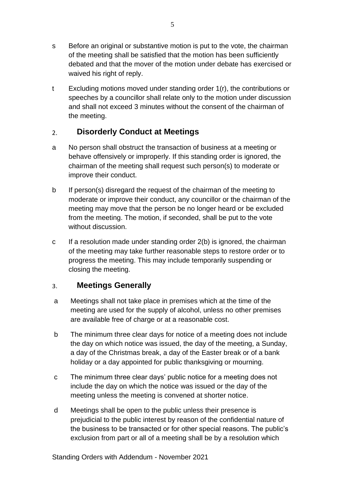- s Before an original or substantive motion is put to the vote, the chairman of the meeting shall be satisfied that the motion has been sufficiently debated and that the mover of the motion under debate has exercised or waived his right of reply.
- t Excluding motions moved under standing order 1(r), the contributions or speeches by a councillor shall relate only to the motion under discussion and shall not exceed 3 minutes without the consent of the chairman of the meeting.

#### <span id="page-4-0"></span>**Disorderly Conduct at Meetings**  $2.$

- a No person shall obstruct the transaction of business at a meeting or behave offensively or improperly. If this standing order is ignored, the chairman of the meeting shall request such person(s) to moderate or improve their conduct.
- b If person(s) disregard the request of the chairman of the meeting to moderate or improve their conduct, any councillor or the chairman of the meeting may move that the person be no longer heard or be excluded from the meeting. The motion, if seconded, shall be put to the vote without discussion.
- c If a resolution made under standing order 2(b) is ignored, the chairman of the meeting may take further reasonable steps to restore order or to progress the meeting. This may include temporarily suspending or closing the meeting.

#### <span id="page-4-1"></span>**Meetings Generally**  $3<sub>1</sub>$

- a Meetings shall not take place in premises which at the time of the meeting are used for the supply of alcohol, unless no other premises are available free of charge or at a reasonable cost.
- b The minimum three clear days for notice of a meeting does not include the day on which notice was issued, the day of the meeting, a Sunday, a day of the Christmas break, a day of the Easter break or of a bank holiday or a day appointed for public thanksgiving or mourning.
- c The minimum three clear days' public notice for a meeting does not include the day on which the notice was issued or the day of the meeting unless the meeting is convened at shorter notice.
- d Meetings shall be open to the public unless their presence is prejudicial to the public interest by reason of the confidential nature of the business to be transacted or for other special reasons. The public's exclusion from part or all of a meeting shall be by a resolution which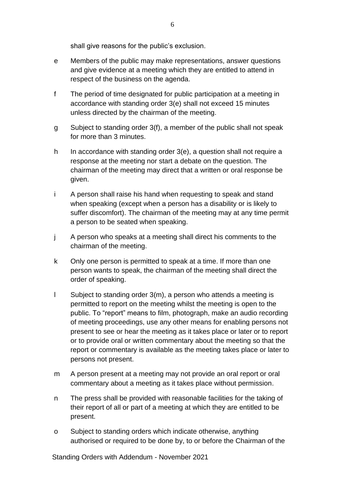shall give reasons for the public's exclusion.

- e Members of the public may make representations, answer questions and give evidence at a meeting which they are entitled to attend in respect of the business on the agenda.
- f The period of time designated for public participation at a meeting in accordance with standing order 3(e) shall not exceed 15 minutes unless directed by the chairman of the meeting.
- g Subject to standing order 3(f), a member of the public shall not speak for more than 3 minutes.
- h In accordance with standing order 3(e), a question shall not require a response at the meeting nor start a debate on the question. The chairman of the meeting may direct that a written or oral response be given.
- i A person shall raise his hand when requesting to speak and stand when speaking (except when a person has a disability or is likely to suffer discomfort). The chairman of the meeting may at any time permit a person to be seated when speaking.
- j A person who speaks at a meeting shall direct his comments to the chairman of the meeting.
- k Only one person is permitted to speak at a time. If more than one person wants to speak, the chairman of the meeting shall direct the order of speaking.
- l Subject to standing order 3(m), a person who attends a meeting is permitted to report on the meeting whilst the meeting is open to the public. To "report" means to film, photograph, make an audio recording of meeting proceedings, use any other means for enabling persons not present to see or hear the meeting as it takes place or later or to report or to provide oral or written commentary about the meeting so that the report or commentary is available as the meeting takes place or later to persons not present.
- m A person present at a meeting may not provide an oral report or oral commentary about a meeting as it takes place without permission.
- n The press shall be provided with reasonable facilities for the taking of their report of all or part of a meeting at which they are entitled to be present.
- o Subject to standing orders which indicate otherwise, anything authorised or required to be done by, to or before the Chairman of the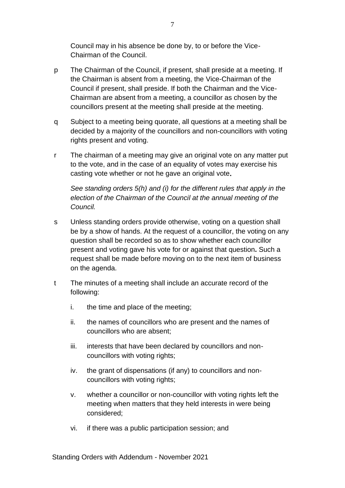Council may in his absence be done by, to or before the Vice-Chairman of the Council.

- p The Chairman of the Council, if present, shall preside at a meeting. If the Chairman is absent from a meeting, the Vice-Chairman of the Council if present, shall preside. If both the Chairman and the Vice-Chairman are absent from a meeting, a councillor as chosen by the councillors present at the meeting shall preside at the meeting.
- q Subject to a meeting being quorate, all questions at a meeting shall be decided by a majority of the councillors and non-councillors with voting rights present and voting.
- r The chairman of a meeting may give an original vote on any matter put to the vote, and in the case of an equality of votes may exercise his casting vote whether or not he gave an original vote**.**

*See standing orders 5(h) and (i) for the different rules that apply in the election of the Chairman of the Council at the annual meeting of the Council.*

- s Unless standing orders provide otherwise, voting on a question shall be by a show of hands. At the request of a councillor, the voting on any question shall be recorded so as to show whether each councillor present and voting gave his vote for or against that question**.** Such a request shall be made before moving on to the next item of business on the agenda.
- t The minutes of a meeting shall include an accurate record of the following:
	- i. the time and place of the meeting;
	- ii. the names of councillors who are present and the names of councillors who are absent;
	- iii. interests that have been declared by councillors and noncouncillors with voting rights;
	- iv. the grant of dispensations (if any) to councillors and noncouncillors with voting rights;
	- v. whether a councillor or non-councillor with voting rights left the meeting when matters that they held interests in were being considered;
	- vi. if there was a public participation session; and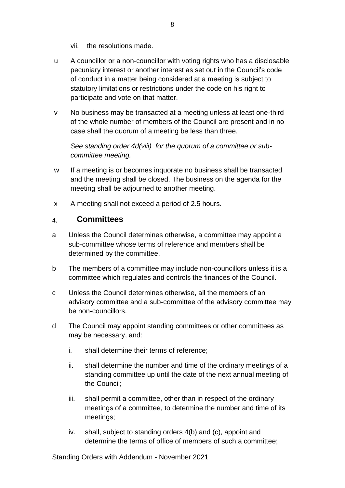- vii. the resolutions made.
- u A councillor or a non-councillor with voting rights who has a disclosable pecuniary interest or another interest as set out in the Council's code of conduct in a matter being considered at a meeting is subject to statutory limitations or restrictions under the code on his right to participate and vote on that matter.
- v No business may be transacted at a meeting unless at least one-third of the whole number of members of the Council are present and in no case shall the quorum of a meeting be less than three.

*See standing order 4d(viii) for the quorum of a committee or subcommittee meeting.* 

- w If a meeting is or becomes inquorate no business shall be transacted and the meeting shall be closed. The business on the agenda for the meeting shall be adjourned to another meeting.
- x A meeting shall not exceed a period of 2.5 hours.

#### <span id="page-7-0"></span>**Committees**  $\mathbf{A}$

- a Unless the Council determines otherwise, a committee may appoint a sub-committee whose terms of reference and members shall be determined by the committee.
- b The members of a committee may include non-councillors unless it is a committee which regulates and controls the finances of the Council.
- c Unless the Council determines otherwise, all the members of an advisory committee and a sub-committee of the advisory committee may be non-councillors.
- d The Council may appoint standing committees or other committees as may be necessary, and:
	- i. shall determine their terms of reference;
	- ii. shall determine the number and time of the ordinary meetings of a standing committee up until the date of the next annual meeting of the Council;
	- iii. shall permit a committee, other than in respect of the ordinary meetings of a committee, to determine the number and time of its meetings;
	- iv. shall, subject to standing orders 4(b) and (c), appoint and determine the terms of office of members of such a committee;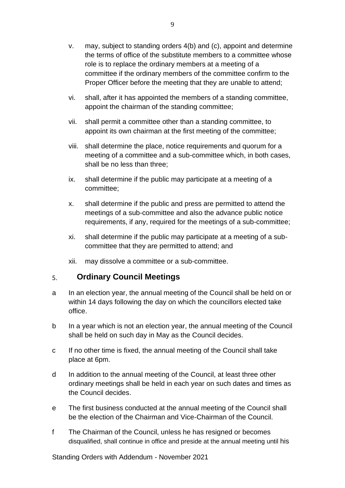- v. may, subject to standing orders 4(b) and (c), appoint and determine the terms of office of the substitute members to a committee whose role is to replace the ordinary members at a meeting of a committee if the ordinary members of the committee confirm to the Proper Officer before the meeting that they are unable to attend;
- vi. shall, after it has appointed the members of a standing committee, appoint the chairman of the standing committee;
- vii. shall permit a committee other than a standing committee, to appoint its own chairman at the first meeting of the committee;
- viii. shall determine the place, notice requirements and quorum for a meeting of a committee and a sub-committee which, in both cases, shall be no less than three;
- ix. shall determine if the public may participate at a meeting of a committee;
- x. shall determine if the public and press are permitted to attend the meetings of a sub-committee and also the advance public notice requirements, if any, required for the meetings of a sub-committee;
- xi. shall determine if the public may participate at a meeting of a subcommittee that they are permitted to attend; and
- xii. may dissolve a committee or a sub-committee.

#### <span id="page-8-0"></span>**Ordinary Council Meetings**  $5<sub>1</sub>$

- a In an election year, the annual meeting of the Council shall be held on or within 14 days following the day on which the councillors elected take office.
- b In a year which is not an election year, the annual meeting of the Council shall be held on such day in May as the Council decides.
- c If no other time is fixed, the annual meeting of the Council shall take place at 6pm.
- d In addition to the annual meeting of the Council, at least three other ordinary meetings shall be held in each year on such dates and times as the Council decides.
- e The first business conducted at the annual meeting of the Council shall be the election of the Chairman and Vice-Chairman of the Council.
- f The Chairman of the Council, unless he has resigned or becomes disqualified, shall continue in office and preside at the annual meeting until his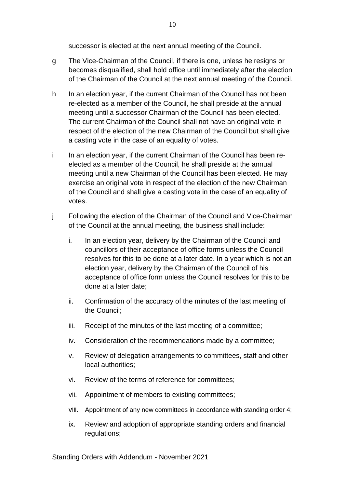successor is elected at the next annual meeting of the Council.

- g The Vice-Chairman of the Council, if there is one, unless he resigns or becomes disqualified, shall hold office until immediately after the election of the Chairman of the Council at the next annual meeting of the Council.
- h In an election year, if the current Chairman of the Council has not been re-elected as a member of the Council, he shall preside at the annual meeting until a successor Chairman of the Council has been elected. The current Chairman of the Council shall not have an original vote in respect of the election of the new Chairman of the Council but shall give a casting vote in the case of an equality of votes.
- i In an election year, if the current Chairman of the Council has been reelected as a member of the Council, he shall preside at the annual meeting until a new Chairman of the Council has been elected. He may exercise an original vote in respect of the election of the new Chairman of the Council and shall give a casting vote in the case of an equality of votes.
- j Following the election of the Chairman of the Council and Vice-Chairman of the Council at the annual meeting, the business shall include:
	- i. In an election year, delivery by the Chairman of the Council and councillors of their acceptance of office forms unless the Council resolves for this to be done at a later date. In a year which is not an election year, delivery by the Chairman of the Council of his acceptance of office form unless the Council resolves for this to be done at a later date;
	- ii. Confirmation of the accuracy of the minutes of the last meeting of the Council;
	- iii. Receipt of the minutes of the last meeting of a committee;
	- iv. Consideration of the recommendations made by a committee;
	- v. Review of delegation arrangements to committees, staff and other local authorities;
	- vi. Review of the terms of reference for committees;
	- vii. Appointment of members to existing committees;
	- viii. Appointment of any new committees in accordance with standing order 4;
	- ix. Review and adoption of appropriate standing orders and financial regulations;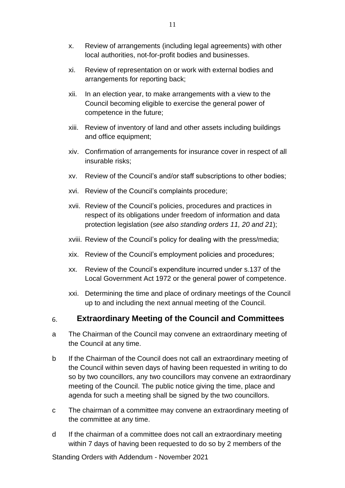- x. Review of arrangements (including legal agreements) with other local authorities, not-for-profit bodies and businesses.
- xi. Review of representation on or work with external bodies and arrangements for reporting back;
- xii. In an election year, to make arrangements with a view to the Council becoming eligible to exercise the general power of competence in the future;
- xiii. Review of inventory of land and other assets including buildings and office equipment;
- xiv. Confirmation of arrangements for insurance cover in respect of all insurable risks;
- xv. Review of the Council's and/or staff subscriptions to other bodies;
- xvi. Review of the Council's complaints procedure;
- xvii. Review of the Council's policies, procedures and practices in respect of its obligations under freedom of information and data protection legislation (*see also standing orders 11, 20 and 21*);
- xviii. Review of the Council's policy for dealing with the press/media;
- xix. Review of the Council's employment policies and procedures;
- xx. Review of the Council's expenditure incurred under s.137 of the Local Government Act 1972 or the general power of competence.
- xxi. Determining the time and place of ordinary meetings of the Council up to and including the next annual meeting of the Council.

#### <span id="page-10-0"></span>**Extraordinary Meeting of the Council and Committees** 6.

- a The Chairman of the Council may convene an extraordinary meeting of the Council at any time.
- b If the Chairman of the Council does not call an extraordinary meeting of the Council within seven days of having been requested in writing to do so by two councillors, any two councillors may convene an extraordinary meeting of the Council. The public notice giving the time, place and agenda for such a meeting shall be signed by the two councillors.
- c The chairman of a committee may convene an extraordinary meeting of the committee at any time.
- d If the chairman of a committee does not call an extraordinary meeting within 7 days of having been requested to do so by 2 members of the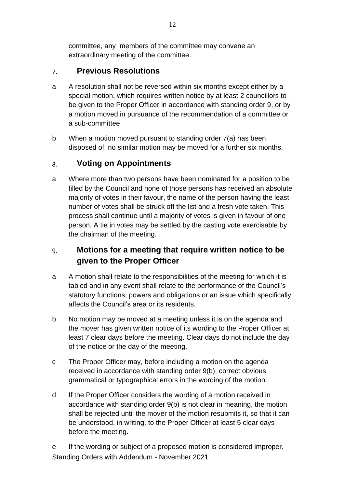committee, any members of the committee may convene an extraordinary meeting of the committee.

#### <span id="page-11-0"></span>**Previous Resolutions**  $7<sup>1</sup>$

- a A resolution shall not be reversed within six months except either by a special motion, which requires written notice by at least 2 councillors to be given to the Proper Officer in accordance with standing order 9, or by a motion moved in pursuance of the recommendation of a committee or a sub-committee.
- b When a motion moved pursuant to standing order 7(a) has been disposed of, no similar motion may be moved for a further six months.

#### <span id="page-11-1"></span>**Voting on Appointments** 8.

a Where more than two persons have been nominated for a position to be filled by the Council and none of those persons has received an absolute majority of votes in their favour, the name of the person having the least number of votes shall be struck off the list and a fresh vote taken. This process shall continue until a majority of votes is given in favour of one person. A tie in votes may be settled by the casting vote exercisable by the chairman of the meeting.

### <span id="page-11-2"></span>**Motions for a meeting that require written notice to be**  9. **given to the Proper Officer**

- a A motion shall relate to the responsibilities of the meeting for which it is tabled and in any event shall relate to the performance of the Council's statutory functions, powers and obligations or an issue which specifically affects the Council's area or its residents.
- b No motion may be moved at a meeting unless it is on the agenda and the mover has given written notice of its wording to the Proper Officer at least 7 clear days before the meeting. Clear days do not include the day of the notice or the day of the meeting.
- c The Proper Officer may, before including a motion on the agenda received in accordance with standing order 9(b), correct obvious grammatical or typographical errors in the wording of the motion.
- d If the Proper Officer considers the wording of a motion received in accordance with standing order 9(b) is not clear in meaning, the motion shall be rejected until the mover of the motion resubmits it, so that it can be understood, in writing, to the Proper Officer at least 5 clear days before the meeting.

Standing Orders with Addendum - November 2021 e If the wording or subject of a proposed motion is considered improper,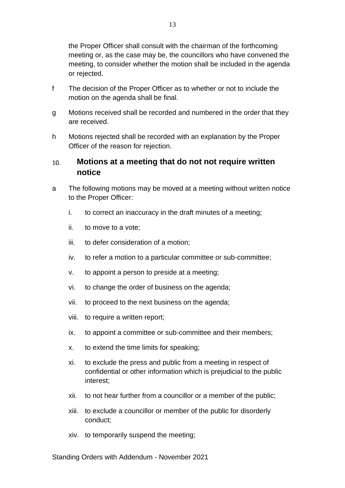the Proper Officer shall consult with the chairman of the forthcoming meeting or, as the case may be, the councillors who have convened the meeting, to consider whether the motion shall be included in the agenda or rejected.

- f The decision of the Proper Officer as to whether or not to include the motion on the agenda shall be final.
- g Motions received shall be recorded and numbered in the order that they are received.
- h Motions rejected shall be recorded with an explanation by the Proper Officer of the reason for rejection.

### <span id="page-12-0"></span>**Motions at a meeting that do not not require written**   $10.$ **notice**

- a The following motions may be moved at a meeting without written notice to the Proper Officer:
	- i. to correct an inaccuracy in the draft minutes of a meeting;
	- ii. to move to a vote;
	- iii. to defer consideration of a motion;
	- iv. to refer a motion to a particular committee or sub-committee;
	- v. to appoint a person to preside at a meeting;
	- vi. to change the order of business on the agenda;
	- vii. to proceed to the next business on the agenda;
	- viii. to require a written report;
	- ix. to appoint a committee or sub-committee and their members;
	- x. to extend the time limits for speaking;
	- xi. to exclude the press and public from a meeting in respect of confidential or other information which is prejudicial to the public interest;
	- xii. to not hear further from a councillor or a member of the public;
	- xiii. to exclude a councillor or member of the public for disorderly conduct;
	- xiv. to temporarily suspend the meeting;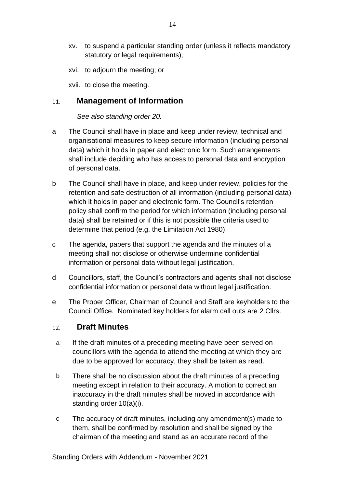- xv. to suspend a particular standing order (unless it reflects mandatory statutory or legal requirements);
- xvi. to adjourn the meeting; or

xvii. to close the meeting.

#### <span id="page-13-0"></span>**Management of Information**  $11.$

*See also standing order 20.*

- a The Council shall have in place and keep under review, technical and organisational measures to keep secure information (including personal data) which it holds in paper and electronic form. Such arrangements shall include deciding who has access to personal data and encryption of personal data.
- b The Council shall have in place, and keep under review, policies for the retention and safe destruction of all information (including personal data) which it holds in paper and electronic form. The Council's retention policy shall confirm the period for which information (including personal data) shall be retained or if this is not possible the criteria used to determine that period (e.g. the Limitation Act 1980).
- c The agenda, papers that support the agenda and the minutes of a meeting shall not disclose or otherwise undermine confidential information or personal data without legal justification.
- d Councillors, staff, the Council's contractors and agents shall not disclose confidential information or personal data without legal justification.
- e The Proper Officer, Chairman of Council and Staff are keyholders to the Council Office. Nominated key holders for alarm call outs are 2 Cllrs.

#### <span id="page-13-1"></span>**Draft Minutes**  $12<sub>1</sub>$

- a If the draft minutes of a preceding meeting have been served on councillors with the agenda to attend the meeting at which they are due to be approved for accuracy, they shall be taken as read.
- b There shall be no discussion about the draft minutes of a preceding meeting except in relation to their accuracy. A motion to correct an inaccuracy in the draft minutes shall be moved in accordance with standing order 10(a)(i).
- c The accuracy of draft minutes, including any amendment(s) made to them, shall be confirmed by resolution and shall be signed by the chairman of the meeting and stand as an accurate record of the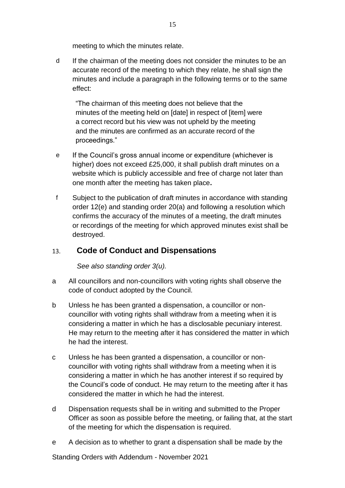meeting to which the minutes relate.

d If the chairman of the meeting does not consider the minutes to be an accurate record of the meeting to which they relate, he shall sign the minutes and include a paragraph in the following terms or to the same effect:

"The chairman of this meeting does not believe that the minutes of the meeting held on [date] in respect of [item] were a correct record but his view was not upheld by the meeting and the minutes are confirmed as an accurate record of the proceedings."

- e If the Council's gross annual income or expenditure (whichever is higher) does not exceed £25,000, it shall publish draft minutes on a website which is publicly accessible and free of charge not later than one month after the meeting has taken place**.**
- f Subject to the publication of draft minutes in accordance with standing order 12(e) and standing order 20(a) and following a resolution which confirms the accuracy of the minutes of a meeting, the draft minutes or recordings of the meeting for which approved minutes exist shall be destroyed.

#### <span id="page-14-0"></span>13. **Code of Conduct and Dispensations**

*See also standing order 3(u).*

- a All councillors and non-councillors with voting rights shall observe the code of conduct adopted by the Council.
- b Unless he has been granted a dispensation, a councillor or noncouncillor with voting rights shall withdraw from a meeting when it is considering a matter in which he has a disclosable pecuniary interest. He may return to the meeting after it has considered the matter in which he had the interest.
- c Unless he has been granted a dispensation, a councillor or noncouncillor with voting rights shall withdraw from a meeting when it is considering a matter in which he has another interest if so required by the Council's code of conduct. He may return to the meeting after it has considered the matter in which he had the interest.
- d Dispensation requests shall be in writing and submitted to the Proper Officer as soon as possible before the meeting, or failing that, at the start of the meeting for which the dispensation is required.
- e A decision as to whether to grant a dispensation shall be made by the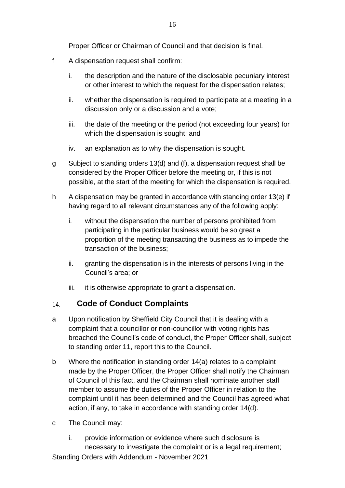Proper Officer or Chairman of Council and that decision is final.

- f A dispensation request shall confirm:
	- i. the description and the nature of the disclosable pecuniary interest or other interest to which the request for the dispensation relates;
	- ii. whether the dispensation is required to participate at a meeting in a discussion only or a discussion and a vote;
	- iii. the date of the meeting or the period (not exceeding four years) for which the dispensation is sought; and
	- iv. an explanation as to why the dispensation is sought.
- g Subject to standing orders 13(d) and (f), a dispensation request shall be considered by the Proper Officer before the meeting or, if this is not possible, at the start of the meeting for which the dispensation is required.
- h A dispensation may be granted in accordance with standing order 13(e) if having regard to all relevant circumstances any of the following apply:
	- i. without the dispensation the number of persons prohibited from participating in the particular business would be so great a proportion of the meeting transacting the business as to impede the transaction of the business;
	- ii. granting the dispensation is in the interests of persons living in the Council's area; or
	- iii. it is otherwise appropriate to grant a dispensation.

#### <span id="page-15-0"></span>**Code of Conduct Complaints** 14.

- a Upon notification by Sheffield City Council that it is dealing with a complaint that a councillor or non-councillor with voting rights has breached the Council's code of conduct, the Proper Officer shall, subject to standing order 11, report this to the Council.
- b Where the notification in standing order 14(a) relates to a complaint made by the Proper Officer, the Proper Officer shall notify the Chairman of Council of this fact, and the Chairman shall nominate another staff member to assume the duties of the Proper Officer in relation to the complaint until it has been determined and the Council has agreed what action, if any, to take in accordance with standing order 14(d).
- c The Council may:
	- i. provide information or evidence where such disclosure is necessary to investigate the complaint or is a legal requirement;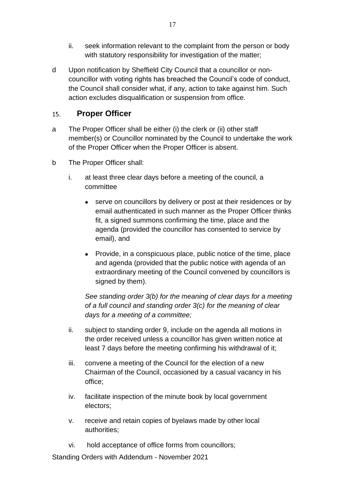- ii. seek information relevant to the complaint from the person or body with statutory responsibility for investigation of the matter;
- d Upon notification by Sheffield City Council that a councillor or noncouncillor with voting rights has breached the Council's code of conduct, the Council shall consider what, if any, action to take against him. Such action excludes disqualification or suspension from office.

#### <span id="page-16-0"></span>**Proper Officer**  $15.$

- a The Proper Officer shall be either (i) the clerk or (ii) other staff member(s) or Councillor nominated by the Council to undertake the work of the Proper Officer when the Proper Officer is absent.
- b The Proper Officer shall:
	- i. at least three clear days before a meeting of the council, a committee
		- serve on councillors by delivery or post at their residences or by email authenticated in such manner as the Proper Officer thinks fit, a signed summons confirming the time, place and the agenda (provided the councillor has consented to service by email), and
		- Provide, in a conspicuous place, public notice of the time, place and agenda (provided that the public notice with agenda of an extraordinary meeting of the Council convened by councillors is signed by them).

*See standing order 3(b) for the meaning of clear days for a meeting of a full council and standing order 3(c) for the meaning of clear days for a meeting of a committee;*

- ii. subject to standing order 9, include on the agenda all motions in the order received unless a councillor has given written notice at least 7 days before the meeting confirming his withdrawal of it;
- iii. convene a meeting of the Council for the election of a new Chairman of the Council, occasioned by a casual vacancy in his office;
- iv. facilitate inspection of the minute book by local government electors;
- v. receive and retain copies of byelaws made by other local authorities;
- vi. hold acceptance of office forms from councillors;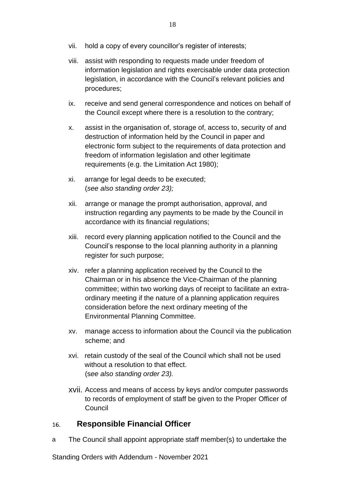- vii. hold a copy of every councillor's register of interests;
- viii. assist with responding to requests made under freedom of information legislation and rights exercisable under data protection legislation, in accordance with the Council's relevant policies and procedures;
- ix. receive and send general correspondence and notices on behalf of the Council except where there is a resolution to the contrary;
- x. assist in the organisation of, storage of, access to, security of and destruction of information held by the Council in paper and electronic form subject to the requirements of data protection and freedom of information legislation and other legitimate requirements (e.g. the Limitation Act 1980);
- xi. arrange for legal deeds to be executed; (*see also standing order 23);*
- xii. arrange or manage the prompt authorisation, approval, and instruction regarding any payments to be made by the Council in accordance with its financial regulations;
- xiii. record every planning application notified to the Council and the Council's response to the local planning authority in a planning register for such purpose;
- xiv. refer a planning application received by the Council to the Chairman or in his absence the Vice-Chairman of the planning committee; within two working days of receipt to facilitate an extraordinary meeting if the nature of a planning application requires consideration before the next ordinary meeting of the Environmental Planning Committee.
- xv. manage access to information about the Council via the publication scheme; and
- xvi. retain custody of the seal of the Council which shall not be used without a resolution to that effect. (s*ee also standing order 23).*
- xvii. Access and means of access by keys and/or computer passwords to records of employment of staff be given to the Proper Officer of **Council**

#### <span id="page-17-0"></span>**Responsible Financial Officer** 16.

a The Council shall appoint appropriate staff member(s) to undertake the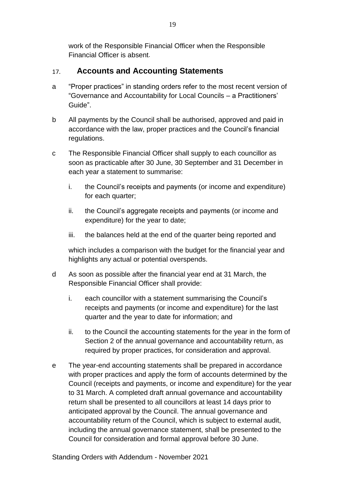work of the Responsible Financial Officer when the Responsible Financial Officer is absent.

#### <span id="page-18-0"></span>**Accounts and Accounting Statements**  $17.$

- a "Proper practices" in standing orders refer to the most recent version of "Governance and Accountability for Local Councils – a Practitioners' Guide".
- b All payments by the Council shall be authorised, approved and paid in accordance with the law, proper practices and the Council's financial regulations.
- c The Responsible Financial Officer shall supply to each councillor as soon as practicable after 30 June, 30 September and 31 December in each year a statement to summarise:
	- i. the Council's receipts and payments (or income and expenditure) for each quarter;
	- ii. the Council's aggregate receipts and payments (or income and expenditure) for the year to date;
	- iii. the balances held at the end of the quarter being reported and

which includes a comparison with the budget for the financial year and highlights any actual or potential overspends.

- d As soon as possible after the financial year end at 31 March, the Responsible Financial Officer shall provide:
	- i. each councillor with a statement summarising the Council's receipts and payments (or income and expenditure) for the last quarter and the year to date for information; and
	- ii. to the Council the accounting statements for the year in the form of Section 2 of the annual governance and accountability return, as required by proper practices, for consideration and approval.
- e The year-end accounting statements shall be prepared in accordance with proper practices and apply the form of accounts determined by the Council (receipts and payments, or income and expenditure) for the year to 31 March. A completed draft annual governance and accountability return shall be presented to all councillors at least 14 days prior to anticipated approval by the Council. The annual governance and accountability return of the Council, which is subject to external audit, including the annual governance statement, shall be presented to the Council for consideration and formal approval before 30 June.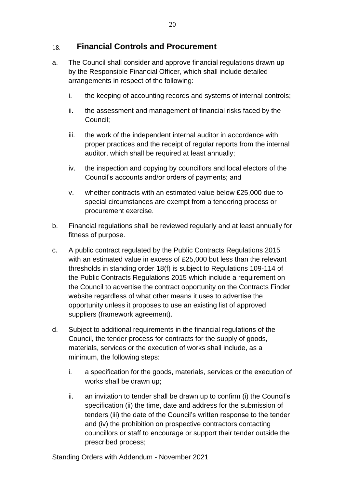#### <span id="page-19-0"></span>**Financial Controls and Procurement** 18.

- a. The Council shall consider and approve financial regulations drawn up by the Responsible Financial Officer, which shall include detailed arrangements in respect of the following:
	- i. the keeping of accounting records and systems of internal controls;
	- ii. the assessment and management of financial risks faced by the Council;
	- iii. the work of the independent internal auditor in accordance with proper practices and the receipt of regular reports from the internal auditor, which shall be required at least annually;
	- iv. the inspection and copying by councillors and local electors of the Council's accounts and/or orders of payments; and
	- v. whether contracts with an estimated value below £25,000 due to special circumstances are exempt from a tendering process or procurement exercise.
- b. Financial regulations shall be reviewed regularly and at least annually for fitness of purpose.
- c. A public contract regulated by the Public Contracts Regulations 2015 with an estimated value in excess of £25,000 but less than the relevant thresholds in standing order 18(f) is subject to Regulations 109-114 of the Public Contracts Regulations 2015 which include a requirement on the Council to advertise the contract opportunity on the Contracts Finder website regardless of what other means it uses to advertise the opportunity unless it proposes to use an existing list of approved suppliers (framework agreement).
- d. Subject to additional requirements in the financial regulations of the Council, the tender process for contracts for the supply of goods, materials, services or the execution of works shall include, as a minimum, the following steps:
	- i. a specification for the goods, materials, services or the execution of works shall be drawn up;
	- ii. an invitation to tender shall be drawn up to confirm (i) the Council's specification (ii) the time, date and address for the submission of tenders (iii) the date of the Council's written response to the tender and (iv) the prohibition on prospective contractors contacting councillors or staff to encourage or support their tender outside the prescribed process;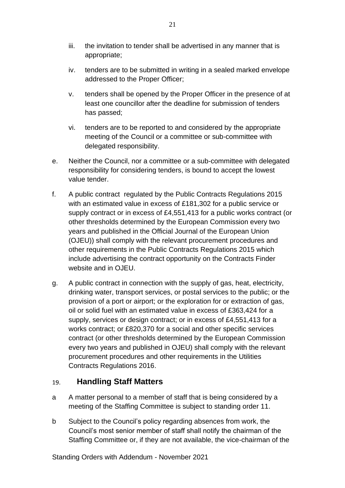- iii. the invitation to tender shall be advertised in any manner that is appropriate;
- iv. tenders are to be submitted in writing in a sealed marked envelope addressed to the Proper Officer;
- v. tenders shall be opened by the Proper Officer in the presence of at least one councillor after the deadline for submission of tenders has passed;
- vi. tenders are to be reported to and considered by the appropriate meeting of the Council or a committee or sub-committee with delegated responsibility.
- e. Neither the Council, nor a committee or a sub-committee with delegated responsibility for considering tenders, is bound to accept the lowest value tender.
- f. A public contract regulated by the Public Contracts Regulations 2015 with an estimated value in excess of £181,302 for a public service or supply contract or in excess of £4,551,413 for a public works contract (or other thresholds determined by the European Commission every two years and published in the Official Journal of the European Union (OJEU)) shall comply with the relevant procurement procedures and other requirements in the Public Contracts Regulations 2015 which include advertising the contract opportunity on the Contracts Finder website and in OJEU.
- g. A public contract in connection with the supply of gas, heat, electricity, drinking water, transport services, or postal services to the public; or the provision of a port or airport; or the exploration for or extraction of gas, oil or solid fuel with an estimated value in excess of £363,424 for a supply, services or design contract; or in excess of £4,551,413 for a works contract; or £820,370 for a social and other specific services contract (or other thresholds determined by the European Commission every two years and published in OJEU) shall comply with the relevant procurement procedures and other requirements in the Utilities Contracts Regulations 2016.

#### <span id="page-20-0"></span>**Handling Staff Matters** 19.

- a A matter personal to a member of staff that is being considered by a meeting of the Staffing Committee is subject to standing order 11.
- b Subject to the Council's policy regarding absences from work, the Council's most senior member of staff shall notify the chairman of the Staffing Committee or, if they are not available, the vice-chairman of the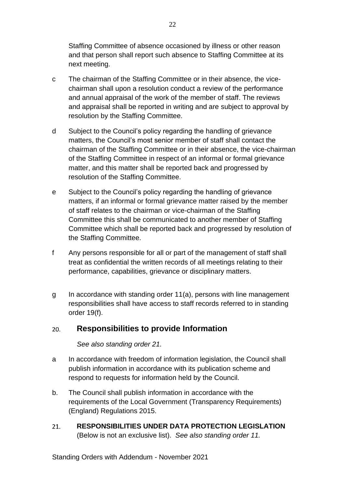Staffing Committee of absence occasioned by illness or other reason and that person shall report such absence to Staffing Committee at its next meeting.

- c The chairman of the Staffing Committee or in their absence, the vicechairman shall upon a resolution conduct a review of the performance and annual appraisal of the work of the member of staff. The reviews and appraisal shall be reported in writing and are subject to approval by resolution by the Staffing Committee.
- d Subject to the Council's policy regarding the handling of grievance matters, the Council's most senior member of staff shall contact the chairman of the Staffing Committee or in their absence, the vice-chairman of the Staffing Committee in respect of an informal or formal grievance matter, and this matter shall be reported back and progressed by resolution of the Staffing Committee.
- e Subject to the Council's policy regarding the handling of grievance matters, if an informal or formal grievance matter raised by the member of staff relates to the chairman or vice-chairman of the Staffing Committee this shall be communicated to another member of Staffing Committee which shall be reported back and progressed by resolution of the Staffing Committee.
- f Any persons responsible for all or part of the management of staff shall treat as confidential the written records of all meetings relating to their performance, capabilities, grievance or disciplinary matters.
- g In accordance with standing order 11(a), persons with line management responsibilities shall have access to staff records referred to in standing order 19(f).

#### <span id="page-21-0"></span> $20<sub>1</sub>$ **Responsibilities to provide Information**

*See also standing order 21.*

- a In accordance with freedom of information legislation, the Council shall publish information in accordance with its publication scheme and respond to requests for information held by the Council.
- b. The Council shall publish information in accordance with the requirements of the Local Government (Transparency Requirements) (England) Regulations 2015.
- <span id="page-21-1"></span> $21.$ **RESPONSIBILITIES UNDER DATA PROTECTION LEGISLATION**  (Below is not an exclusive list). *See also standing order 11.*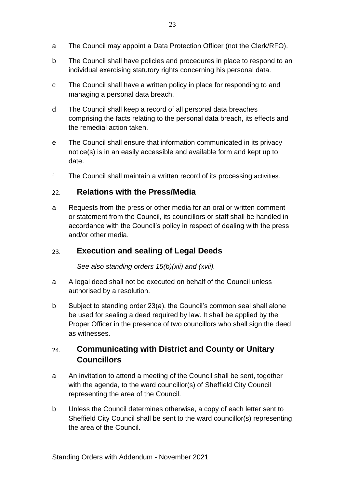- a The Council may appoint a Data Protection Officer (not the Clerk/RFO).
- b The Council shall have policies and procedures in place to respond to an individual exercising statutory rights concerning his personal data.
- c The Council shall have a written policy in place for responding to and managing a personal data breach.
- d The Council shall keep a record of all personal data breaches comprising the facts relating to the personal data breach, its effects and the remedial action taken.
- e The Council shall ensure that information communicated in its privacy notice(s) is in an easily accessible and available form and kept up to date.
- f The Council shall maintain a written record of its processing activities.

#### <span id="page-22-0"></span>**Relations with the Press/Media**  $22.$

a Requests from the press or other media for an oral or written comment or statement from the Council, its councillors or staff shall be handled in accordance with the Council's policy in respect of dealing with the press and/or other media.

#### <span id="page-22-1"></span>**Execution and sealing of Legal Deeds** 23.

*See also standing orders 15(b)(xii) and (xvii).*

- a A legal deed shall not be executed on behalf of the Council unless authorised by a resolution.
- b Subject to standing order 23(a), the Council's common seal shall alone be used for sealing a deed required by law. It shall be applied by the Proper Officer in the presence of two councillors who shall sign the deed as witnesses.

## <span id="page-22-2"></span>**Communicating with District and County or Unitary** 24. **Councillors**

- a An invitation to attend a meeting of the Council shall be sent, together with the agenda, to the ward councillor(s) of Sheffield City Council representing the area of the Council.
- b Unless the Council determines otherwise, a copy of each letter sent to Sheffield City Council shall be sent to the ward councillor(s) representing the area of the Council.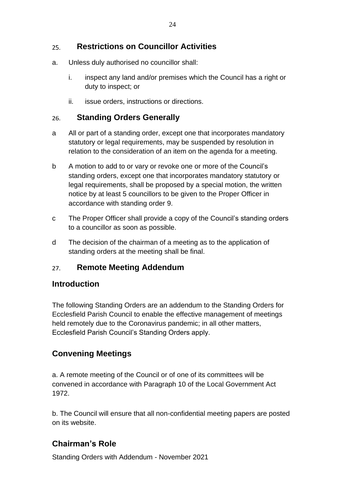#### <span id="page-23-0"></span>**Restrictions on Councillor Activities** 25.

- a. Unless duly authorised no councillor shall:
	- i. inspect any land and/or premises which the Council has a right or duty to inspect; or
	- ii. issue orders, instructions or directions.

#### <span id="page-23-1"></span>**Standing Orders Generally** 26.

- a All or part of a standing order, except one that incorporates mandatory statutory or legal requirements, may be suspended by resolution in relation to the consideration of an item on the agenda for a meeting.
- b A motion to add to or vary or revoke one or more of the Council's standing orders, except one that incorporates mandatory statutory or legal requirements, shall be proposed by a special motion, the written notice by at least 5 councillors to be given to the Proper Officer in accordance with standing order 9.
- c The Proper Officer shall provide a copy of the Council's standing orders to a councillor as soon as possible.
- d The decision of the chairman of a meeting as to the application of standing orders at the meeting shall be final.

#### **Remote Meeting Addendum**  $27.$

## **Introduction**

The following Standing Orders are an addendum to the Standing Orders for Ecclesfield Parish Council to enable the effective management of meetings held remotely due to the Coronavirus pandemic; in all other matters, Ecclesfield Parish Council's Standing Orders apply.

## **Convening Meetings**

a. A remote meeting of the Council or of one of its committees will be convened in accordance with Paragraph 10 of the Local Government Act 1972.

b. The Council will ensure that all non-confidential meeting papers are posted on its website.

## **Chairman's Role**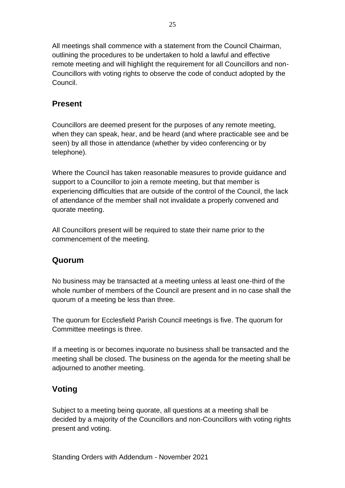All meetings shall commence with a statement from the Council Chairman, outlining the procedures to be undertaken to hold a lawful and effective remote meeting and will highlight the requirement for all Councillors and non-Councillors with voting rights to observe the code of conduct adopted by the Council.

## **Present**

Councillors are deemed present for the purposes of any remote meeting, when they can speak, hear, and be heard (and where practicable see and be seen) by all those in attendance (whether by video conferencing or by telephone).

Where the Council has taken reasonable measures to provide guidance and support to a Councillor to join a remote meeting, but that member is experiencing difficulties that are outside of the control of the Council, the lack of attendance of the member shall not invalidate a properly convened and quorate meeting.

All Councillors present will be required to state their name prior to the commencement of the meeting.

## **Quorum**

No business may be transacted at a meeting unless at least one-third of the whole number of members of the Council are present and in no case shall the quorum of a meeting be less than three.

The quorum for Ecclesfield Parish Council meetings is five. The quorum for Committee meetings is three.

If a meeting is or becomes inquorate no business shall be transacted and the meeting shall be closed. The business on the agenda for the meeting shall be adjourned to another meeting.

## **Voting**

Subject to a meeting being quorate, all questions at a meeting shall be decided by a majority of the Councillors and non-Councillors with voting rights present and voting.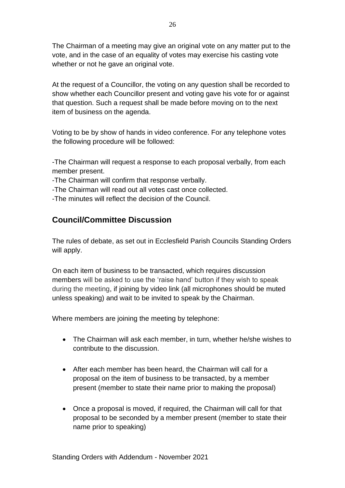The Chairman of a meeting may give an original vote on any matter put to the vote, and in the case of an equality of votes may exercise his casting vote whether or not he gave an original vote.

At the request of a Councillor, the voting on any question shall be recorded to show whether each Councillor present and voting gave his vote for or against that question. Such a request shall be made before moving on to the next item of business on the agenda.

Voting to be by show of hands in video conference. For any telephone votes the following procedure will be followed:

-The Chairman will request a response to each proposal verbally, from each member present.

-The Chairman will confirm that response verbally.

-The Chairman will read out all votes cast once collected.

-The minutes will reflect the decision of the Council.

## **Council/Committee Discussion**

The rules of debate, as set out in Ecclesfield Parish Councils Standing Orders will apply.

On each item of business to be transacted, which requires discussion members will be asked to use the 'raise hand' button if they wish to speak during the meeting, if joining by video link (all microphones should be muted unless speaking) and wait to be invited to speak by the Chairman.

Where members are joining the meeting by telephone:

- The Chairman will ask each member, in turn, whether he/she wishes to contribute to the discussion.
- After each member has been heard, the Chairman will call for a proposal on the item of business to be transacted, by a member present (member to state their name prior to making the proposal)
- Once a proposal is moved, if required, the Chairman will call for that proposal to be seconded by a member present (member to state their name prior to speaking)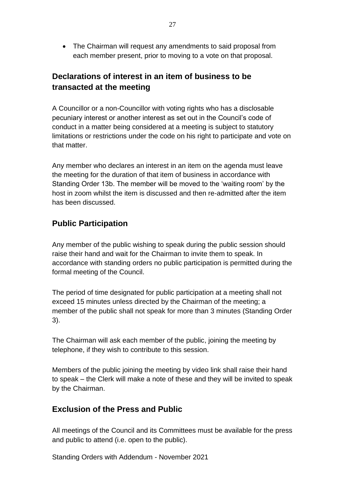• The Chairman will request any amendments to said proposal from each member present, prior to moving to a vote on that proposal.

# **Declarations of interest in an item of business to be transacted at the meeting**

A Councillor or a non-Councillor with voting rights who has a disclosable pecuniary interest or another interest as set out in the Council's code of conduct in a matter being considered at a meeting is subject to statutory limitations or restrictions under the code on his right to participate and vote on that matter.

Any member who declares an interest in an item on the agenda must leave the meeting for the duration of that item of business in accordance with Standing Order 13b. The member will be moved to the 'waiting room' by the host in zoom whilst the item is discussed and then re-admitted after the item has been discussed.

## **Public Participation**

Any member of the public wishing to speak during the public session should raise their hand and wait for the Chairman to invite them to speak. In accordance with standing orders no public participation is permitted during the formal meeting of the Council.

The period of time designated for public participation at a meeting shall not exceed 15 minutes unless directed by the Chairman of the meeting; a member of the public shall not speak for more than 3 minutes (Standing Order 3).

The Chairman will ask each member of the public, joining the meeting by telephone, if they wish to contribute to this session.

Members of the public joining the meeting by video link shall raise their hand to speak – the Clerk will make a note of these and they will be invited to speak by the Chairman.

## **Exclusion of the Press and Public**

All meetings of the Council and its Committees must be available for the press and public to attend (i.e. open to the public).